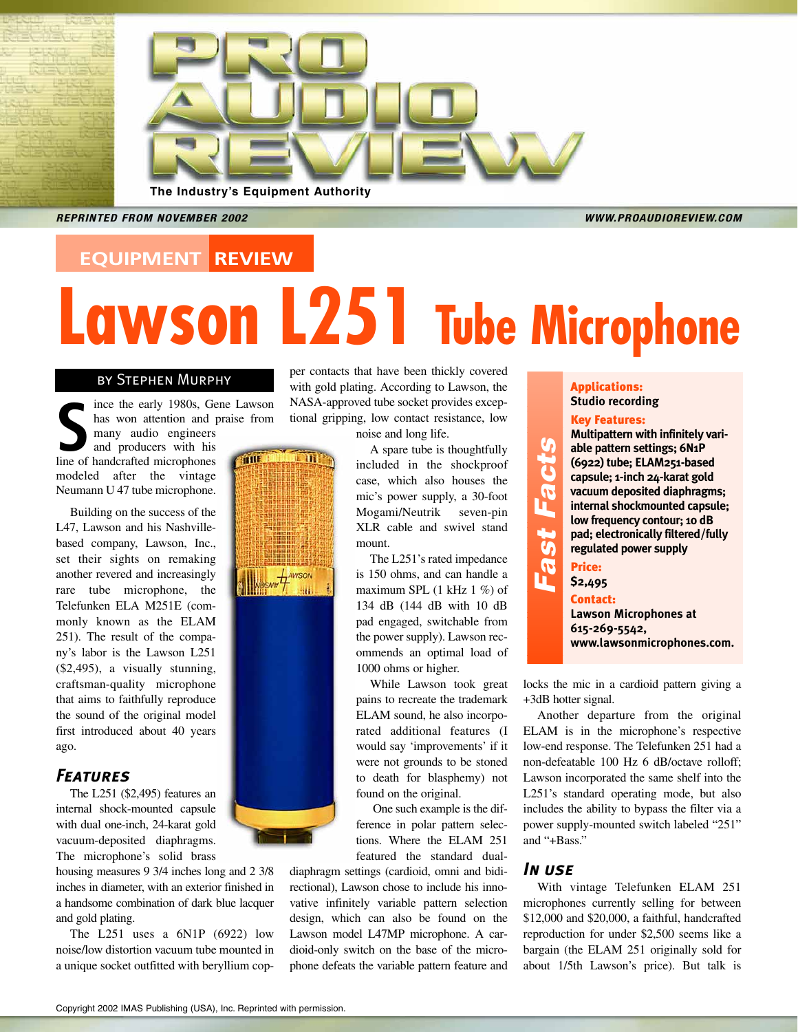

*REPRINTED FROM NOVEMBER 2002 WWW.PROAUDIOREVIEW.COM* 

## **EQUIPMENT REVIEW**

# **Lawson L251 Tube Microphone**

### by Stephen Murphy

ince the early 1980s, Gene Lawson ince the early 1980s, Ge has won attention and many audio engineers and producers with his line of handcrafted microphones has won attention and praise from many audio engineers and producers with his frius I modeled after the vintage Neumann U 47 tube microphone.

Building on the success of the L47, Lawson and his Nashvillebased company, Lawson, Inc., set their sights on remaking another revered and increasingly rare tube microphone, the Telefunken ELA M251E (commonly known as the ELAM 251). The result of the company's labor is the Lawson L251 (\$2,495), a visually stunning, craftsman-quality microphone that aims to faithfully reproduce the sound of the original model first introduced about 40 years ago.

#### *Features*

The L251 (\$2,495) features an internal shock-mounted capsule with dual one-inch, 24-karat gold vacuum-deposited diaphragms. The microphone's solid brass

housing measures 9 3/4 inches long and 2 3/8 inches in diameter, with an exterior finished in a handsome combination of dark blue lacquer and gold plating.

The L251 uses a 6N1P (6922) low noise/low distortion vacuum tube mounted in a unique socket outfitted with beryllium copper contacts that have been thickly covered with gold plating. According to Lawson, the NASA-approved tube socket provides exceptional gripping, low contact resistance, low

noise and long life.

A spare tube is thoughtfully included in the shockproof case, which also houses the mic's power supply, a 30-foot Mogami/Neutrik seven-pin XLR cable and swivel stand mount.

The L251's rated impedance is 150 ohms, and can handle a maximum SPL (1 kHz 1 %) of 134 dB (144 dB with 10 dB pad engaged, switchable from the power supply). Lawson recommends an optimal load of 1000 ohms or higher.

While Lawson took great pains to recreate the trademark ELAM sound, he also incorporated additional features (I would say 'improvements' if it were not grounds to be stoned to death for blasphemy) not found on the original.

One such example is the difference in polar pattern selections. Where the ELAM 251 featured the standard dual-

diaphragm settings (cardioid, omni and bidirectional), Lawson chose to include his innovative infinitely variable pattern selection design, which can also be found on the Lawson model L47MP microphone. A cardioid-only switch on the base of the microphone defeats the variable pattern feature and

#### Applications: **Studio recording**

#### Key Features:

**Multipattern with infinitely variable pattern settings; 6N1P (6922) tube; ELAM251-based capsule; 1-inch 24-karat gold vacuum deposited diaphragms; internal shockmounted capsule; low frequency contour; 10 dB pad; electronically filtered/fully regulated power supply** Price:

**\$2,495** Contact:

**Fast Facts**

Fast Facts

**Lawson Microphones at 615-269-5542, www.lawsonmicrophones.com.**

locks the mic in a cardioid pattern giving a +3dB hotter signal.

Another departure from the original ELAM is in the microphone's respective low-end response. The Telefunken 251 had a non-defeatable 100 Hz 6 dB/octave rolloff; Lawson incorporated the same shelf into the L251's standard operating mode, but also includes the ability to bypass the filter via a power supply-mounted switch labeled "251" and "+Bass."

#### *In use*

With vintage Telefunken ELAM 251 microphones currently selling for between \$12,000 and \$20,000, a faithful, handcrafted reproduction for under \$2,500 seems like a bargain (the ELAM 251 originally sold for about 1/5th Lawson's price). But talk is



 $\mathbf{m}^3$